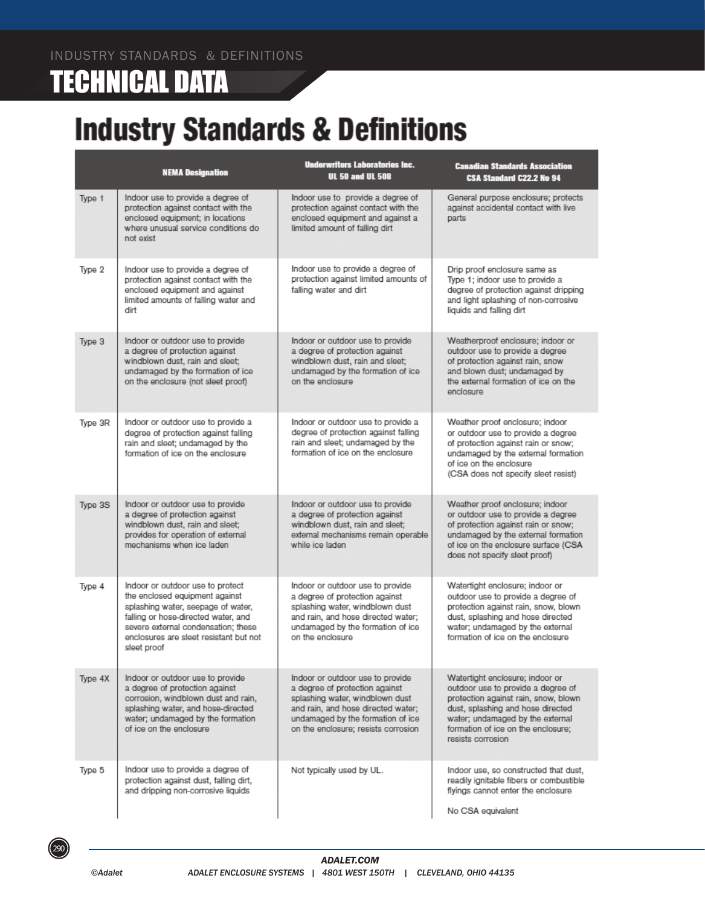# **TECHNICAL DATA**

# **Industry Standards & Definitions**

|         | <b>NEMA Designation</b>                                                                                                                                                                                                                         | <b>Underwriters Laboratories Inc.</b><br><b>UL 50 and UL 508</b>                                                                                                                                                        | <b>Canadian Standards Association</b><br>CSA Standard C22.2 No 94                                                                                                                                                                                 |
|---------|-------------------------------------------------------------------------------------------------------------------------------------------------------------------------------------------------------------------------------------------------|-------------------------------------------------------------------------------------------------------------------------------------------------------------------------------------------------------------------------|---------------------------------------------------------------------------------------------------------------------------------------------------------------------------------------------------------------------------------------------------|
| Type 1  | Indoor use to provide a degree of<br>protection against contact with the<br>enclosed equipment; in locations<br>where unusual service conditions do<br>not exist                                                                                | Indoor use to provide a degree of<br>protection against contact with the<br>enclosed equipment and against a<br>limited amount of falling dirt                                                                          | General purpose enclosure; protects<br>against accidental contact with live<br>parts                                                                                                                                                              |
| Type 2  | Indoor use to provide a degree of<br>protection against contact with the<br>enclosed equipment and against<br>limited amounts of falling water and<br>dirt                                                                                      | Indoor use to provide a degree of<br>protection against limited amounts of<br>falling water and dirt                                                                                                                    | Drip proof enclosure same as<br>Type 1; indoor use to provide a<br>degree of protection against dripping<br>and light splashing of non-corrosive<br>liquids and falling dirt                                                                      |
| Type 3  | Indoor or outdoor use to provide<br>a degree of protection against<br>windblown dust, rain and sleet;<br>undamaged by the formation of ice<br>on the enclosure (not sleet proof)                                                                | Indoor or outdoor use to provide<br>a degree of protection against<br>windblown dust, rain and sleet;<br>undamaged by the formation of ice<br>on the enclosure                                                          | Weatherproof enclosure; indoor or<br>outdoor use to provide a degree<br>of protection against rain, snow<br>and blown dust; undamaged by<br>the external formation of ice on the<br>enclosure                                                     |
| Type 3R | Indoor or outdoor use to provide a<br>degree of protection against falling<br>rain and sleet; undamaged by the<br>formation of ice on the enclosure                                                                                             | Indoor or outdoor use to provide a<br>degree of protection against falling<br>rain and sleet; undamaged by the<br>formation of ice on the enclosure                                                                     | Weather proof enclosure; indoor<br>or outdoor use to provide a degree<br>of protection against rain or snow;<br>undamaged by the external formation<br>of ice on the enclosure<br>(CSA does not specify sleet resist)                             |
| Type 3S | Indoor or outdoor use to provide<br>a degree of protection against<br>windblown dust, rain and sleet;<br>provides for operation of external<br>mechanisms when ice laden                                                                        | Indoor or outdoor use to provide<br>a degree of protection against<br>windblown dust, rain and sleet;<br>external mechanisms remain operable<br>while ice laden                                                         | Weather proof enclosure; indoor<br>or outdoor use to provide a degree<br>of protection against rain or snow;<br>undamaged by the external formation<br>of ice on the enclosure surface (CSA<br>does not specify sleet proof)                      |
| Type 4  | Indoor or outdoor use to protect<br>the enclosed equipment against<br>splashing water, seepage of water,<br>falling or hose-directed water, and<br>severe external condensation: these<br>enclosures are sleet resistant but not<br>sleet proof | Indoor or outdoor use to provide<br>a degree of protection against<br>splashing water, windblown dust<br>and rain, and hose directed water;<br>undamaged by the formation of ice<br>on the enclosure                    | Watertight enclosure; indoor or<br>outdoor use to provide a degree of<br>protection against rain, snow, blown<br>dust, splashing and hose directed<br>water; undamaged by the external<br>formation of ice on the enclosure                       |
| Type 4X | Indoor or outdoor use to provide<br>a degree of protection against<br>corrosion, windblown dust and rain,<br>splashing water, and hose-directed<br>water; undamaged by the formation<br>of ice on the enclosure                                 | Indoor or outdoor use to provide<br>a degree of protection against<br>splashing water, windblown dust<br>and rain, and hose directed water;<br>undamaged by the formation of ice<br>on the enclosure: resists corrosion | Watertight enclosure; indoor or<br>outdoor use to provide a degree of<br>protection against rain, snow, blown<br>dust, splashing and hose directed<br>water; undamaged by the external<br>formation of ice on the enclosure:<br>resists corrosion |
| Type 5  | Indoor use to provide a degree of<br>protection against dust, falling dirt,<br>and dripping non-corrosive liquids                                                                                                                               | Not typically used by UL.                                                                                                                                                                                               | Indoor use, so constructed that dust,<br>readily ignitable fibers or combustible<br>flyings cannot enter the enclosure<br>No CSA equivalent                                                                                                       |

 $(290)$ 

©Adalet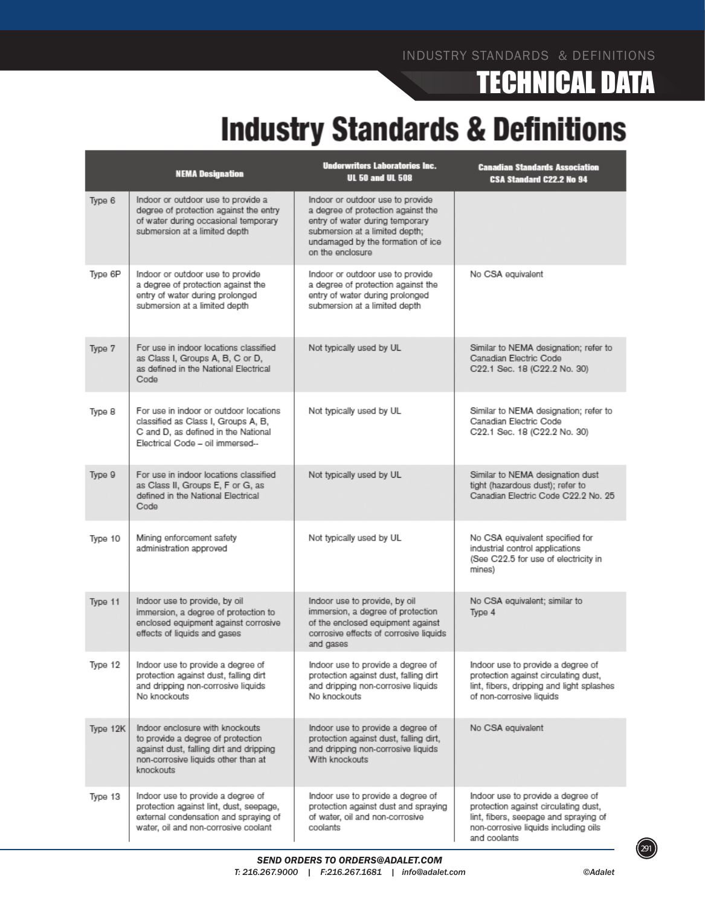# TECHNICAL DATA

# **Industry Standards & Definitions**

|          | <b>NEMA Designation</b>                                                                                                                                             | <b>Underwriters Laboratories Inc.</b><br><b>UL 50 and UL 508</b>                                                                                                                                     | <b>Canadian Standards Association</b><br>CSA Standard C22.2 No 94                                                                                                          |
|----------|---------------------------------------------------------------------------------------------------------------------------------------------------------------------|------------------------------------------------------------------------------------------------------------------------------------------------------------------------------------------------------|----------------------------------------------------------------------------------------------------------------------------------------------------------------------------|
| Type 6   | Indoor or outdoor use to provide a<br>degree of protection against the entry<br>of water during occasional temporary<br>submersion at a limited depth               | Indoor or outdoor use to provide<br>a degree of protection against the<br>entry of water during temporary<br>submersion at a limited depth;<br>undamaged by the formation of ice<br>on the enclosure |                                                                                                                                                                            |
| Type 6P  | Indoor or outdoor use to provide<br>a degree of protection against the<br>entry of water during prolonged<br>submersion at a limited depth                          | Indoor or outdoor use to provide<br>a degree of protection against the<br>entry of water during prolonged<br>submersion at a limited depth                                                           | No CSA equivalent                                                                                                                                                          |
| Type 7   | For use in indoor locations classified<br>as Class I, Groups A, B, C or D,<br>as defined in the National Electrical<br>Code                                         | Not typically used by UL                                                                                                                                                                             | Similar to NEMA designation; refer to<br>Canadian Electric Code<br>C22.1 Sec. 18 (C22.2 No. 30)                                                                            |
| Type 8   | For use in indoor or outdoor locations.<br>classified as Class I, Groups A, B,<br>C and D, as defined in the National<br>Electrical Code - oil immersed --          | Not typically used by UL                                                                                                                                                                             | Similar to NEMA designation; refer to<br>Canadian Electric Code<br>C22.1 Sec. 18 (C22.2 No. 30)                                                                            |
| Type 9   | For use in indoor locations classified<br>as Class II, Groups E, F or G, as<br>defined in the National Electrical<br>Code                                           | Not typically used by UL                                                                                                                                                                             | Similar to NEMA designation dust<br>tight (hazardous dust); refer to<br>Canadian Electric Code C22.2 No. 25                                                                |
| Type 10  | Mining enforcement safety<br>administration approved                                                                                                                | Not typically used by UL                                                                                                                                                                             | No CSA equivalent specified for<br>industrial control applications<br>(See C22.5 for use of electricity in<br>mines)                                                       |
| Type 11  | Indoor use to provide, by oil<br>immersion, a degree of protection to<br>enclosed equipment against corrosive<br>effects of liquids and gases                       | Indoor use to provide, by oil<br>immersion, a degree of protection<br>of the enclosed equipment against<br>corrosive effects of corrosive liquids<br>and gases                                       | No CSA equivalent; similar to<br>Type 4                                                                                                                                    |
| Type 12  | Indoor use to provide a degree of<br>protection against dust, falling dirt<br>and dripping non-corrosive liquids<br>No knockouts                                    | Indoor use to provide a degree of<br>protection against dust, falling dirt<br>and dripping non-corrosive liquids<br>No knockouts                                                                     | Indoor use to provide a degree of<br>protection against circulating dust,<br>lint, fibers, dripping and light splashes<br>of non-corrosive liquids                         |
| Type 12K | Indoor enclosure with knockouts<br>to provide a degree of protection<br>against dust, falling dirt and dripping<br>non-corrosive liquids other than at<br>knockouts | Indoor use to provide a degree of<br>protection against dust, falling dirt,<br>and dripping non-corrosive liquids<br>With knockouts                                                                  | No CSA equivalent                                                                                                                                                          |
| Type 13  | Indoor use to provide a degree of<br>protection against lint, dust, seepage,<br>external condensation and spraying of<br>water, oil and non-corrosive coolant       | Indoor use to provide a degree of<br>protection against dust and spraying<br>of water, oil and non-corrosive<br>coolants                                                                             | Indoor use to provide a degree of<br>protection against circulating dust,<br>lint, fibers, seepage and spraying of<br>non-corrosive liquids including oils<br>and coolants |

 $(291)$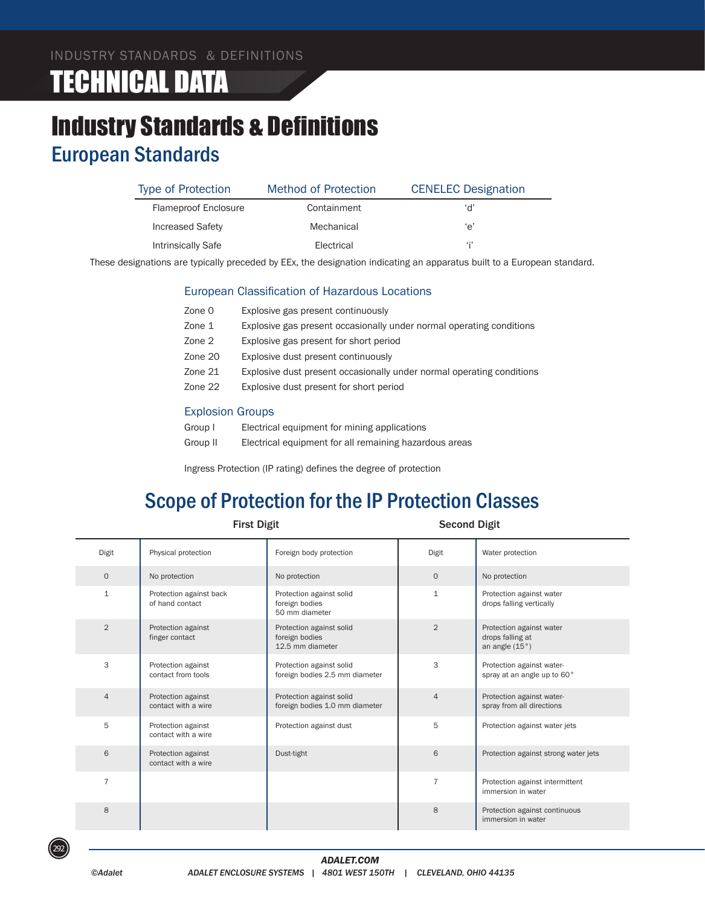# TECHNICAL DATA

### Industry Standards & Definitions European Standards

| <b>Type of Protection</b>   | Method of Protection | <b>CENELEC</b> Designation |
|-----------------------------|----------------------|----------------------------|
| <b>Flameproof Enclosure</b> | Containment          | ʻd'                        |
| <b>Increased Safety</b>     | Mechanical           | 'e'                        |
| Intrinsically Safe          | Electrical           |                            |

These designations are typically preceded by EEx, the designation indicating an apparatus built to a European standard.

#### European Classification of Hazardous Locations

| Zone 0  | Explosive gas present continuously                                    |
|---------|-----------------------------------------------------------------------|
| Zone 1  | Explosive gas present occasionally under normal operating conditions  |
| Zone 2  | Explosive gas present for short period                                |
| Zone 20 | Explosive dust present continuously                                   |
| Zone 21 | Explosive dust present occasionally under normal operating conditions |
| Zone 22 | Explosive dust present for short period                               |
|         |                                                                       |

#### Explosion Groups

| Group I  | Electrical equipment for mining applications           |
|----------|--------------------------------------------------------|
| Group II | Electrical equipment for all remaining hazardous areas |

Ingress Protection (IP rating) defines the degree of protection

#### Scope of Protection for the IP Protection Classes

| <b>First Digit</b> |                                            | <b>Second Digit</b>                                            |                |                                                                |
|--------------------|--------------------------------------------|----------------------------------------------------------------|----------------|----------------------------------------------------------------|
| Digit              | Physical protection                        | Foreign body protection                                        | Digit          | Water protection                                               |
| $\mathbf{O}$       | No protection                              | No protection                                                  | $\mathbf{O}$   | No protection                                                  |
| 1                  | Protection against back<br>of hand contact | Protection against solid<br>foreign bodies<br>50 mm diameter   | 1              | Protection against water<br>drops falling vertically           |
| 2                  | Protection against<br>finger contact       | Protection against solid<br>foreign bodies<br>12.5 mm diameter | 2              | Protection against water<br>drops falling at<br>an angle (15°) |
| 3                  | Protection against<br>contact from tools   | Protection against solid<br>foreign bodies 2.5 mm diameter     | 3              | Protection against water-<br>spray at an angle up to 60°       |
| 4                  | Protection against<br>contact with a wire  | Protection against solid<br>foreign bodies 1.0 mm diameter     | 4              | Protection against water-<br>spray from all directions         |
| 5                  | Protection against<br>contact with a wire  | Protection against dust                                        | 5              | Protection against water jets                                  |
| 6                  | Protection against<br>contact with a wire  | Dust-tight                                                     | 6              | Protection against strong water jets                           |
| $\overline{7}$     |                                            |                                                                | $\overline{7}$ | Protection against intermittent<br>immersion in water          |
| 8                  |                                            |                                                                | 8              | Protection against continuous<br>immersion in water            |

292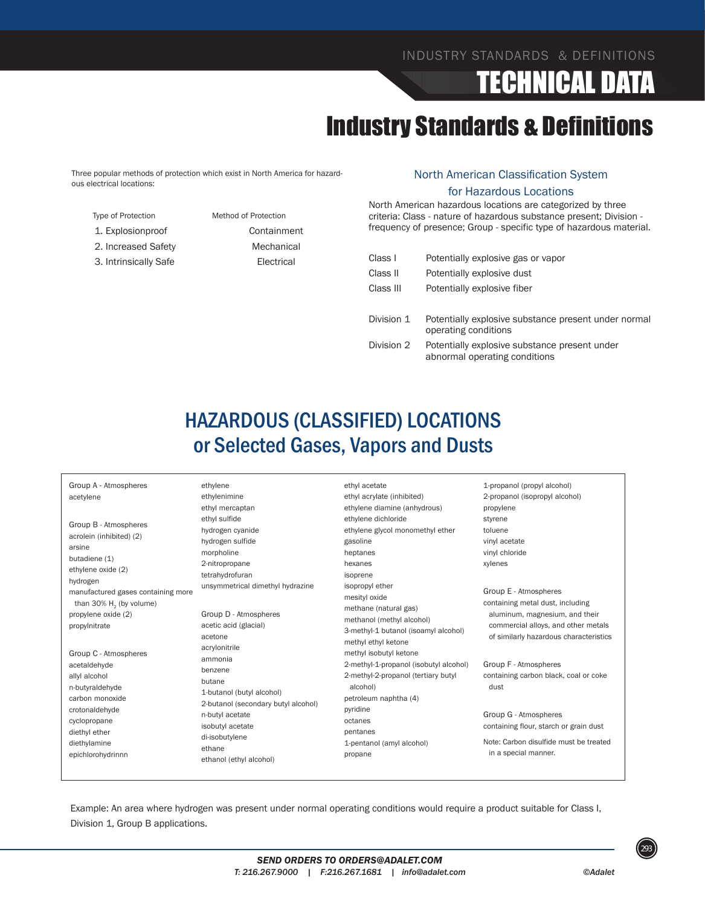# TECHNICAL DATA

### Industry Standards & Definitions

Three popular methods of protection which exist in North America for hazardous electrical locations:

Type of Protection Method of Protection 1. Explosionproof Containment 2. Increased Safety Mechanical 3. Intrinsically Safe **Electrical** 

#### North American Classification System for Hazardous Locations

North American hazardous locations are categorized by three criteria: Class - nature of hazardous substance present; Division frequency of presence; Group - specific type of hazardous material.

| Class I    | Potentially explosive gas or vapor                                           |
|------------|------------------------------------------------------------------------------|
| Class II   | Potentially explosive dust                                                   |
| Class III  | Potentially explosive fiber                                                  |
|            |                                                                              |
| Division 1 | Potentially explosive substance present under normal<br>operating conditions |
| Division 2 | Potentially explosive substance present under                                |

abnormal operating conditions

#### HAZARDOUS (CLASSIFIED) LOCATIONS or Selected Gases, Vapors and Dusts

| Group A - Atmospheres<br>acetylene<br>Group B - Atmospheres<br>acrolein (inhibited) (2)<br>arsine                                | ethylene<br>ethylenimine<br>ethyl mercaptan<br>ethyl sulfide<br>hydrogen cyanide<br>hydrogen sulfide<br>morpholine                                                                                                                                        | ethyl acetate<br>ethyl acrylate (inhibited)<br>ethylene diamine (anhydrous)<br>ethylene dichloride<br>ethylene glycol monomethyl ether<br>gasoline<br>heptanes                                                                                                                                                                           | 1-propanol (propyl alcohol)<br>2-propanol (isopropyl alcohol)<br>propylene<br>styrene<br>toluene<br>vinyl acetate<br>vinyl chloride                                          |
|----------------------------------------------------------------------------------------------------------------------------------|-----------------------------------------------------------------------------------------------------------------------------------------------------------------------------------------------------------------------------------------------------------|------------------------------------------------------------------------------------------------------------------------------------------------------------------------------------------------------------------------------------------------------------------------------------------------------------------------------------------|------------------------------------------------------------------------------------------------------------------------------------------------------------------------------|
| butadiene (1)<br>ethylene oxide (2)<br>hydrogen                                                                                  | 2-nitropropane<br>tetrahydrofuran                                                                                                                                                                                                                         | hexanes<br>isoprene                                                                                                                                                                                                                                                                                                                      | xylenes                                                                                                                                                                      |
| manufactured gases containing more<br>than 30% $H2$ (by volume)<br>propylene oxide (2)<br>propylnitrate<br>Group C - Atmospheres | unsymmetrical dimethyl hydrazine<br>Group D - Atmospheres<br>acetic acid (glacial)<br>acetone<br>acrylonitrile<br>ammonia<br>benzene<br>butane<br>1-butanol (butyl alcohol)<br>2-butanol (secondary butyl alcohol)<br>n-butyl acetate<br>isobutyl acetate | isopropyl ether<br>mesityl oxide<br>methane (natural gas)<br>methanol (methyl alcohol)<br>3-methyl-1 butanol (isoamyl alcohol)<br>methyl ethyl ketone<br>methyl isobutyl ketone<br>2-methyl-1-propanol (isobutyl alcohol)<br>2-methyl-2-propanol (tertiary butyl<br>alcohol)<br>petroleum naphtha (4)<br>pyridine<br>octanes<br>pentanes | Group E - Atmospheres<br>containing metal dust, including<br>aluminum, magnesium, and their<br>commercial alloys, and other metals<br>of similarly hazardous characteristics |
| acetaldehyde<br>allyl alcohol<br>n-butyraldehyde<br>carbon monoxide                                                              |                                                                                                                                                                                                                                                           |                                                                                                                                                                                                                                                                                                                                          | Group F - Atmospheres<br>containing carbon black, coal or coke<br>dust                                                                                                       |
| crotonaldehyde<br>cyclopropane<br>diethyl ether                                                                                  |                                                                                                                                                                                                                                                           |                                                                                                                                                                                                                                                                                                                                          | Group G - Atmospheres<br>containing flour, starch or grain dust                                                                                                              |
| diethylamine<br>epichlorohydrinnn                                                                                                | di-isobutylene<br>ethane<br>ethanol (ethyl alcohol)                                                                                                                                                                                                       | 1-pentanol (amyl alcohol)<br>propane                                                                                                                                                                                                                                                                                                     | Note: Carbon disulfide must be treated<br>in a special manner.                                                                                                               |

Example: An area where hydrogen was present under normal operating conditions would require a product suitable for Class I, Division 1, Group B applications.



293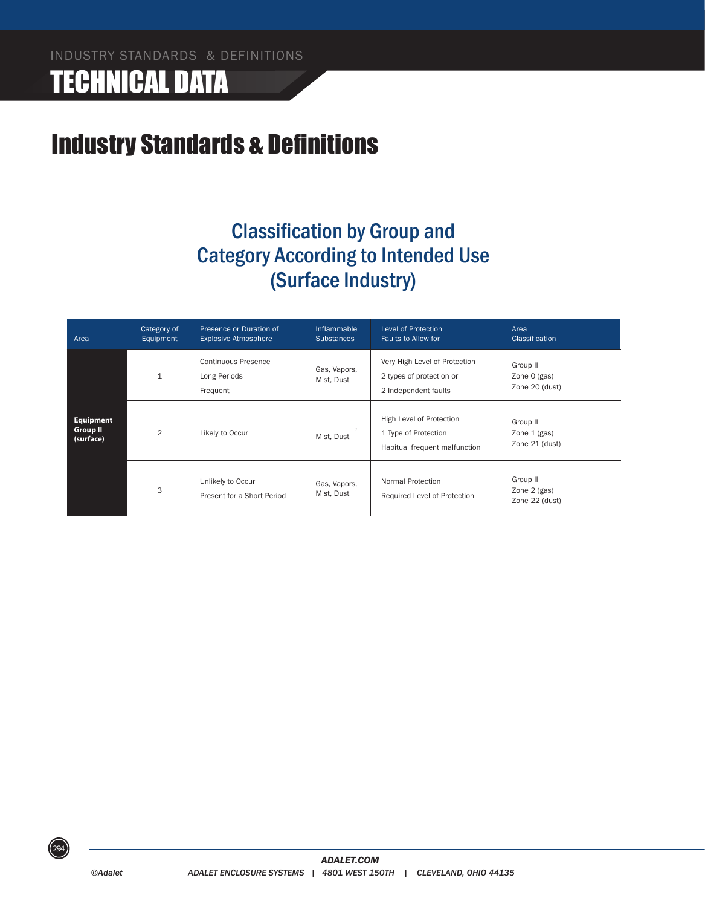# TECHNICAL DATA

### Industry Standards & Definitions

### Classification by Group and Category According to Intended Use (Surface Industry)

| Area                                             | Category of<br>Equipment | Presence or Duration of<br><b>Explosive Atmosphere</b> | Inflammable<br><b>Substances</b> | <b>Level of Protection</b><br>Faults to Allow for                                 | Area<br><b>Classification</b>                |
|--------------------------------------------------|--------------------------|--------------------------------------------------------|----------------------------------|-----------------------------------------------------------------------------------|----------------------------------------------|
|                                                  | $\mathbf{1}$             | <b>Continuous Presence</b><br>Long Periods<br>Frequent | Gas, Vapors,<br>Mist, Dust       | Very High Level of Protection<br>2 types of protection or<br>2 Independent faults | Group II<br>Zone 0 (gas)<br>Zone 20 (dust)   |
| <b>Equipment</b><br><b>Group II</b><br>(surface) | 2                        | Likely to Occur                                        | Mist, Dust                       | High Level of Protection<br>1 Type of Protection<br>Habitual frequent malfunction | Group II<br>Zone $1$ (gas)<br>Zone 21 (dust) |
|                                                  | 3                        | Unlikely to Occur<br>Present for a Short Period        | Gas, Vapors,<br>Mist, Dust       | Normal Protection<br>Required Level of Protection                                 | Group II<br>Zone 2 (gas)<br>Zone 22 (dust)   |